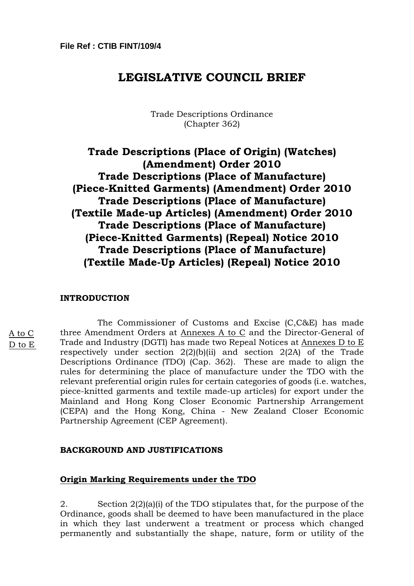# **LEGISLATIVE COUNCIL BRIEF**

# Trade Descriptions Ordinance (Chapter 362)

# **Trade Descriptions (Place of Origin) (Watches) (Amendment) Order 2010 Trade Descriptions (Place of Manufacture) (Piece-Knitted Garments) (Amendment) Order 2010 Trade Descriptions (Place of Manufacture) (Textile Made-up Articles) (Amendment) Order 2010 Trade Descriptions (Place of Manufacture) (Piece-Knitted Garments) (Repeal) Notice 2010 Trade Descriptions (Place of Manufacture) (Textile Made-Up Articles) (Repeal) Notice 2010**

#### **INTRODUCTION**

A to C D to E

 The Commissioner of Customs and Excise (C,C&E) has made three Amendment Orders at Annexes A to C and the Director-General of Trade and Industry (DGTI) has made two Repeal Notices at Annexes D to E respectively under section  $2(2)(b)(ii)$  and section  $2(2A)$  of the Trade Descriptions Ordinance (TDO) (Cap. 362). These are made to align the rules for determining the place of manufacture under the TDO with the relevant preferential origin rules for certain categories of goods (i.e. watches, piece-knitted garments and textile made-up articles) for export under the Mainland and Hong Kong Closer Economic Partnership Arrangement (CEPA) and the Hong Kong, China - New Zealand Closer Economic Partnership Agreement (CEP Agreement).

## **BACKGROUND AND JUSTIFICATIONS**

## **Origin Marking Requirements under the TDO**

2. Section 2(2)(a)(i) of the TDO stipulates that, for the purpose of the Ordinance, goods shall be deemed to have been manufactured in the place in which they last underwent a treatment or process which changed permanently and substantially the shape, nature, form or utility of the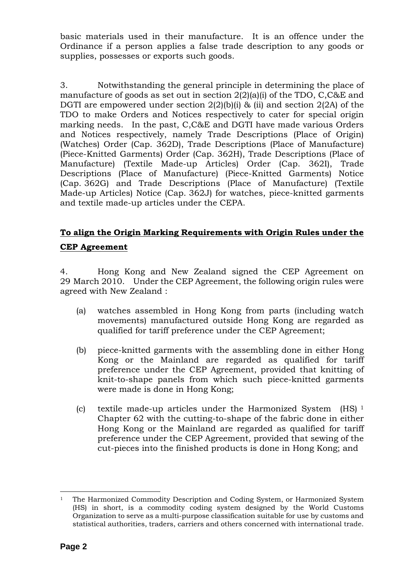basic materials used in their manufacture. It is an offence under the Ordinance if a person applies a false trade description to any goods or supplies, possesses or exports such goods.

3. Notwithstanding the general principle in determining the place of manufacture of goods as set out in section 2(2)(a)(i) of the TDO, C,C&E and DGTI are empowered under section  $2(2)(b)(i)$  & (ii) and section  $2(2A)$  of the TDO to make Orders and Notices respectively to cater for special origin marking needs. In the past, C,C&E and DGTI have made various Orders and Notices respectively, namely Trade Descriptions (Place of Origin) (Watches) Order (Cap. 362D), Trade Descriptions (Place of Manufacture) (Piece-Knitted Garments) Order (Cap. 362H), Trade Descriptions (Place of Manufacture) (Textile Made-up Articles) Order (Cap. 362I), Trade Descriptions (Place of Manufacture) (Piece-Knitted Garments) Notice (Cap. 362G) and Trade Descriptions (Place of Manufacture) (Textile Made-up Articles) Notice (Cap. 362J) for watches, piece-knitted garments and textile made-up articles under the CEPA.

# **To align the Origin Marking Requirements with Origin Rules under the CEP Agreement**

4. Hong Kong and New Zealand signed the CEP Agreement on 29 March 2010. Under the CEP Agreement, the following origin rules were agreed with New Zealand :

- (a) watches assembled in Hong Kong from parts (including watch movements) manufactured outside Hong Kong are regarded as qualified for tariff preference under the CEP Agreement;
- (b) piece-knitted garments with the assembling done in either Hong Kong or the Mainland are regarded as qualified for tariff preference under the CEP Agreement, provided that knitting of knit-to-shape panels from which such piece-knitted garments were made is done in Hong Kong;
- (c) textile made-up articles under the Harmonized System (HS) 1 Chapter 62 with the cutting-to-shape of the fabric done in either Hong Kong or the Mainland are regarded as qualified for tariff preference under the CEP Agreement, provided that sewing of the cut-pieces into the finished products is done in Hong Kong; and

 $\overline{a}$ 1 The Harmonized Commodity Description and Coding System, or Harmonized System (HS) in short, is a commodity coding system designed by the World Customs Organization to serve as a multi-purpose classification suitable for use by customs and statistical authorities, traders, carriers and others concerned with international trade.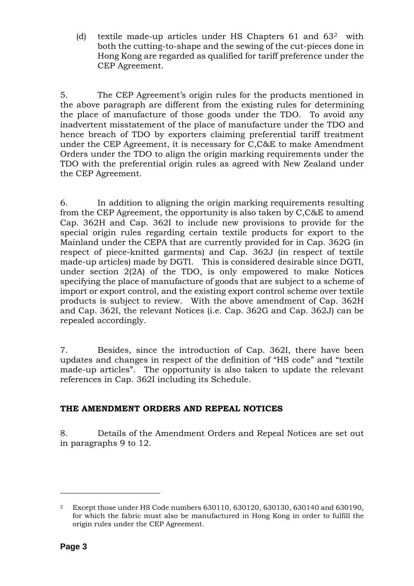(d) textile made-up articles under HS Chapters  $61$  and  $63<sup>2</sup>$  with both the cutting-to-shape and the sewing of the cut-pieces done in Hong Kong are regarded as qualified for tariff preference under the CEP Agreement.

5. The CEP Agreement's origin rules for the products mentioned in the above paragraph are different from the existing rules for determining the place of manufacture of those goods under the TDO. To avoid any inadvertent misstatement of the place of manufacture under the TDO and hence breach of TDO by exporters claiming preferential tariff treatment under the CEP Agreement, it is necessary for C,C&E to make Amendment Orders under the TDO to align the origin marking requirements under the TDO with the preferential origin rules as agreed with New Zealand under the CEP Agreement.

6. In addition to aligning the origin marking requirements resulting from the CEP Agreement, the opportunity is also taken by C,C&E to amend Cap. 362H and Cap. 362I to include new provisions to provide for the special origin rules regarding certain textile products for export to the Mainland under the CEPA that are currently provided for in Cap. 362G (in respect of piece-knitted garments) and Cap. 362J (in respect of textile made-up articles) made by DGTI. This is considered desirable since DGTI, under section 2(2A) of the TDO, is only empowered to make Notices specifying the place of manufacture of goods that are subject to a scheme of import or export control, and the existing export control scheme over textile products is subject to review. With the above amendment of Cap. 362H and Cap. 362I, the relevant Notices (i.e. Cap. 362G and Cap. 362J) can be repealed accordingly.

7. Besides, since the introduction of Cap. 362I, there have been updates and changes in respect of the definition of "HS code" and "textile made-up articles". The opportunity is also taken to update the relevant references in Cap. 362I including its Schedule.

# **THE AMENDMENT ORDERS AND REPEAL NOTICES**

8. Details of the Amendment Orders and Repeal Notices are set out in paragraphs 9 to 12.

 $\overline{a}$ 

<sup>2</sup> Except those under HS Code numbers 630110, 630120, 630130, 630140 and 630190, for which the fabric must also be manufactured in Hong Kong in order to fulfill the origin rules under the CEP Agreement.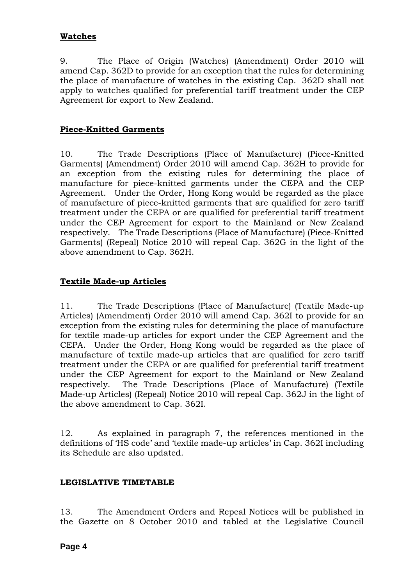# **Watches**

9. The Place of Origin (Watches) (Amendment) Order 2010 will amend Cap. 362D to provide for an exception that the rules for determining the place of manufacture of watches in the existing Cap. 362D shall not apply to watches qualified for preferential tariff treatment under the CEP Agreement for export to New Zealand.

# **Piece-Knitted Garments**

10. The Trade Descriptions (Place of Manufacture) (Piece-Knitted Garments) (Amendment) Order 2010 will amend Cap. 362H to provide for an exception from the existing rules for determining the place of manufacture for piece-knitted garments under the CEPA and the CEP Agreement. Under the Order, Hong Kong would be regarded as the place of manufacture of piece-knitted garments that are qualified for zero tariff treatment under the CEPA or are qualified for preferential tariff treatment under the CEP Agreement for export to the Mainland or New Zealand respectively. The Trade Descriptions (Place of Manufacture) (Piece-Knitted Garments) (Repeal) Notice 2010 will repeal Cap. 362G in the light of the above amendment to Cap. 362H.

# **Textile Made-up Articles**

11. The Trade Descriptions (Place of Manufacture) (Textile Made-up Articles) (Amendment) Order 2010 will amend Cap. 362I to provide for an exception from the existing rules for determining the place of manufacture for textile made-up articles for export under the CEP Agreement and the CEPA. Under the Order, Hong Kong would be regarded as the place of manufacture of textile made-up articles that are qualified for zero tariff treatment under the CEPA or are qualified for preferential tariff treatment under the CEP Agreement for export to the Mainland or New Zealand respectively. The Trade Descriptions (Place of Manufacture) (Textile Made-up Articles) (Repeal) Notice 2010 will repeal Cap. 362J in the light of the above amendment to Cap. 362I.

12. As explained in paragraph 7, the references mentioned in the definitions of 'HS code' and 'textile made-up articles' in Cap. 362I including its Schedule are also updated.

## **LEGISLATIVE TIMETABLE**

13. The Amendment Orders and Repeal Notices will be published in the Gazette on 8 October 2010 and tabled at the Legislative Council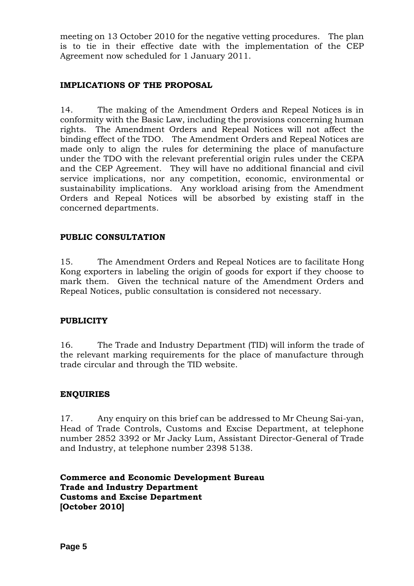meeting on 13 October 2010 for the negative vetting procedures. The plan is to tie in their effective date with the implementation of the CEP Agreement now scheduled for 1 January 2011.

# **IMPLICATIONS OF THE PROPOSAL**

14. The making of the Amendment Orders and Repeal Notices is in conformity with the Basic Law, including the provisions concerning human rights. The Amendment Orders and Repeal Notices will not affect the binding effect of the TDO. The Amendment Orders and Repeal Notices are made only to align the rules for determining the place of manufacture under the TDO with the relevant preferential origin rules under the CEPA and the CEP Agreement. They will have no additional financial and civil service implications, nor any competition, economic, environmental or sustainability implications. Any workload arising from the Amendment Orders and Repeal Notices will be absorbed by existing staff in the concerned departments.

# **PUBLIC CONSULTATION**

15. The Amendment Orders and Repeal Notices are to facilitate Hong Kong exporters in labeling the origin of goods for export if they choose to mark them. Given the technical nature of the Amendment Orders and Repeal Notices, public consultation is considered not necessary.

## **PUBLICITY**

16. The Trade and Industry Department (TID) will inform the trade of the relevant marking requirements for the place of manufacture through trade circular and through the TID website.

# **ENQUIRIES**

17. Any enquiry on this brief can be addressed to Mr Cheung Sai-yan, Head of Trade Controls, Customs and Excise Department, at telephone number 2852 3392 or Mr Jacky Lum, Assistant Director-General of Trade and Industry, at telephone number 2398 5138.

**Commerce and Economic Development Bureau Trade and Industry Department Customs and Excise Department [October 2010]**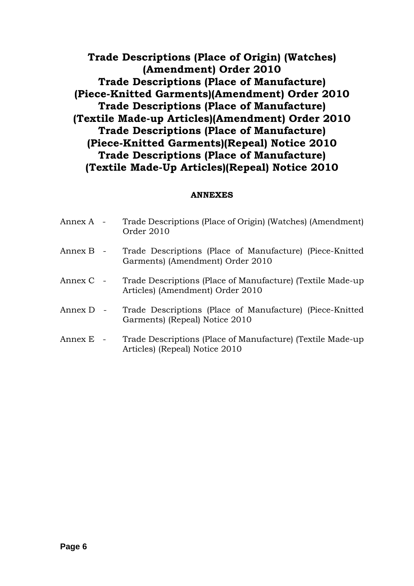**Trade Descriptions (Place of Origin) (Watches) (Amendment) Order 2010 Trade Descriptions (Place of Manufacture) (Piece-Knitted Garments)(Amendment) Order 2010 Trade Descriptions (Place of Manufacture) (Textile Made-up Articles)(Amendment) Order 2010 Trade Descriptions (Place of Manufacture) (Piece-Knitted Garments)(Repeal) Notice 2010 Trade Descriptions (Place of Manufacture) (Textile Made-Up Articles)(Repeal) Notice 2010** 

# **ANNEXES**

| Annex A - | Trade Descriptions (Place of Origin) (Watches) (Amendment)<br>Order 2010                       |
|-----------|------------------------------------------------------------------------------------------------|
| Annex B - | Trade Descriptions (Place of Manufacture) (Piece-Knitted<br>Garments) (Amendment) Order 2010   |
| Annex C - | Trade Descriptions (Place of Manufacture) (Textile Made-up<br>Articles) (Amendment) Order 2010 |
| Annex D - | Trade Descriptions (Place of Manufacture) (Piece-Knitted<br>Garments) (Repeal) Notice 2010     |
| Annex E - | Trade Descriptions (Place of Manufacture) (Textile Made-up<br>Articles) (Repeal) Notice 2010   |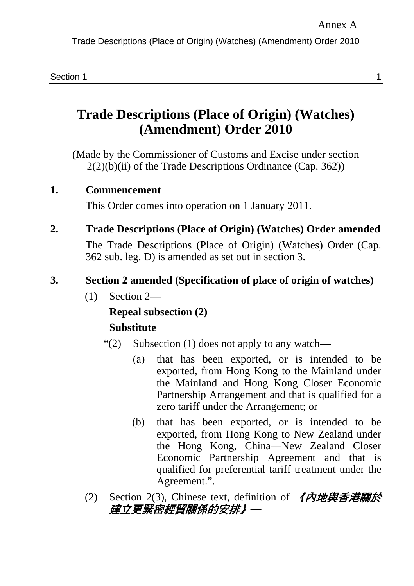Trade Descriptions (Place of Origin) (Watches) (Amendment) Order 2010

# **Trade Descriptions (Place of Origin) (Watches) (Amendment) Order 2010**

(Made by the Commissioner of Customs and Excise under section  $2(2)(b)(ii)$  of the Trade Descriptions Ordinance (Cap. 362))

#### **1. Commencement**

This Order comes into operation on 1 January 2011.

**2. Trade Descriptions (Place of Origin) (Watches) Order amended** 

The Trade Descriptions (Place of Origin) (Watches) Order (Cap. 362 sub. leg. D) is amended as set out in section 3.

#### **3. Section 2 amended (Specification of place of origin of watches)**

(1) Section 2—

#### **Repeal subsection (2)**

#### **Substitute**

- " $(2)$  Subsection  $(1)$  does not apply to any watch—
	- (a) that has been exported, or is intended to be exported, from Hong Kong to the Mainland under the Mainland and Hong Kong Closer Economic Partnership Arrangement and that is qualified for a zero tariff under the Arrangement; or
	- (b) that has been exported, or is intended to be exported, from Hong Kong to New Zealand under the Hong Kong, China—New Zealand Closer Economic Partnership Agreement and that is qualified for preferential tariff treatment under the Agreement.".
- (2) Section 2(3), Chinese text, definition of  $\Box$   $\Diamond$  内地與香港關於 建立更緊密經貿關係的安排》—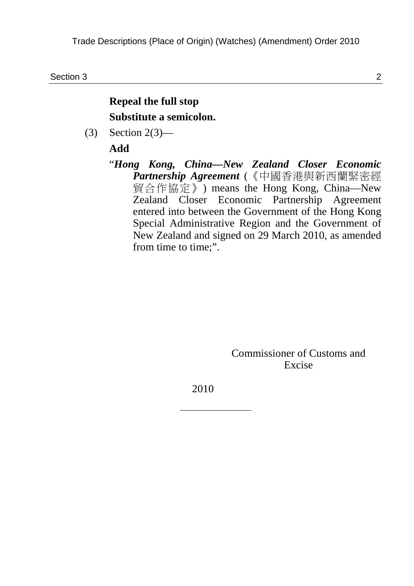Section 3 2

#### **Repeal the full stop Substitute a semicolon.**

(3) Section 2(3)—

#### **Add**

"*Hong Kong, China—New Zealand Closer Economic Partnership Agreement* (《中國香港與新西蘭緊密經 貿合作協定》) means the Hong Kong, China—New Zealand Closer Economic Partnership Agreement entered into between the Government of the Hong Kong Special Administrative Region and the Government of New Zealand and signed on 29 March 2010, as amended from time to time:".

> Commissioner of Customs and Excise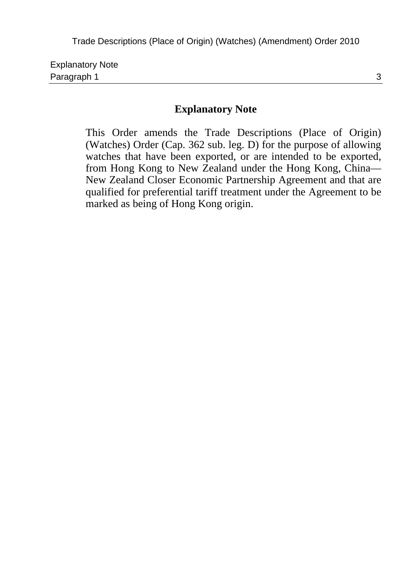| <b>Explanatory Note</b> |  |
|-------------------------|--|
| Paragraph 1             |  |

This Order amends the Trade Descriptions (Place of Origin) (Watches) Order (Cap. 362 sub. leg. D) for the purpose of allowing watches that have been exported, or are intended to be exported, from Hong Kong to New Zealand under the Hong Kong, China— New Zealand Closer Economic Partnership Agreement and that are qualified for preferential tariff treatment under the Agreement to be marked as being of Hong Kong origin.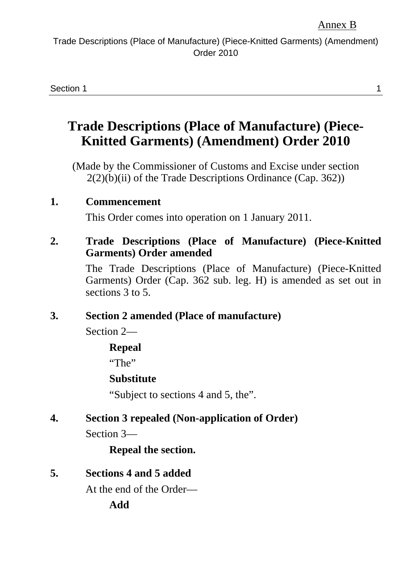Section 1 **1** 

# **Trade Descriptions (Place of Manufacture) (Piece-Knitted Garments) (Amendment) Order 2010**

(Made by the Commissioner of Customs and Excise under section  $2(2)(b)(ii)$  of the Trade Descriptions Ordinance (Cap. 362))

#### **1. Commencement**

This Order comes into operation on 1 January 2011.

#### **2. Trade Descriptions (Place of Manufacture) (Piece-Knitted Garments) Order amended**

The Trade Descriptions (Place of Manufacture) (Piece-Knitted Garments) Order (Cap. 362 sub. leg. H) is amended as set out in sections 3 to 5.

#### **3. Section 2 amended (Place of manufacture)**

Section 2—

#### **Repeal**

"The"

#### **Substitute**

"Subject to sections 4 and 5, the".

#### **4. Section 3 repealed (Non-application of Order)**

Section 3—

#### **Repeal the section.**

#### **5. Sections 4 and 5 added**

At the end of the Order—

**Add**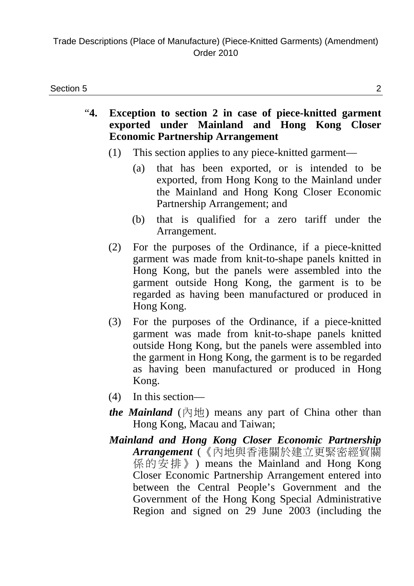- "**4. Exception to section 2 in case of piece-knitted garment exported under Mainland and Hong Kong Closer Economic Partnership Arrangement** 
	- (1) This section applies to any piece-knitted garment—
		- (a) that has been exported, or is intended to be exported, from Hong Kong to the Mainland under the Mainland and Hong Kong Closer Economic Partnership Arrangement; and
		- (b) that is qualified for a zero tariff under the Arrangement.
	- (2) For the purposes of the Ordinance, if a piece-knitted garment was made from knit-to-shape panels knitted in Hong Kong, but the panels were assembled into the garment outside Hong Kong, the garment is to be regarded as having been manufactured or produced in Hong Kong.
	- (3) For the purposes of the Ordinance, if a piece-knitted garment was made from knit-to-shape panels knitted outside Hong Kong, but the panels were assembled into the garment in Hong Kong, the garment is to be regarded as having been manufactured or produced in Hong Kong.
	- (4) In this section—
	- *the Mainland* (內地) means any part of China other than Hong Kong, Macau and Taiwan;
	- *Mainland and Hong Kong Closer Economic Partnership Arrangement* (《內地與香港關於建立更緊密經貿關 係的安排》) means the Mainland and Hong Kong Closer Economic Partnership Arrangement entered into between the Central People's Government and the Government of the Hong Kong Special Administrative Region and signed on 29 June 2003 (including the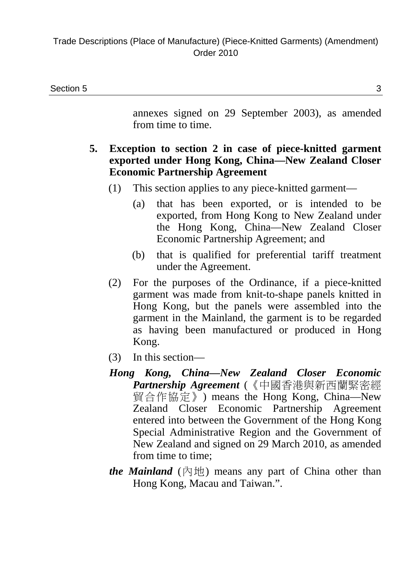annexes signed on 29 September 2003), as amended from time to time.

#### **5. Exception to section 2 in case of piece-knitted garment exported under Hong Kong, China—New Zealand Closer Economic Partnership Agreement**

- (1) This section applies to any piece-knitted garment—
	- (a) that has been exported, or is intended to be exported, from Hong Kong to New Zealand under the Hong Kong, China—New Zealand Closer Economic Partnership Agreement; and
	- (b) that is qualified for preferential tariff treatment under the Agreement.
- (2) For the purposes of the Ordinance, if a piece-knitted garment was made from knit-to-shape panels knitted in Hong Kong, but the panels were assembled into the garment in the Mainland, the garment is to be regarded as having been manufactured or produced in Hong Kong.
- (3) In this section—
- *Hong Kong, China—New Zealand Closer Economic Partnership Agreement* (《中國香港與新西蘭緊密經 貿合作協定》) means the Hong Kong, China—New Zealand Closer Economic Partnership Agreement entered into between the Government of the Hong Kong Special Administrative Region and the Government of New Zealand and signed on 29 March 2010, as amended from time to time;
- *the Mainland* (內地) means any part of China other than Hong Kong, Macau and Taiwan.".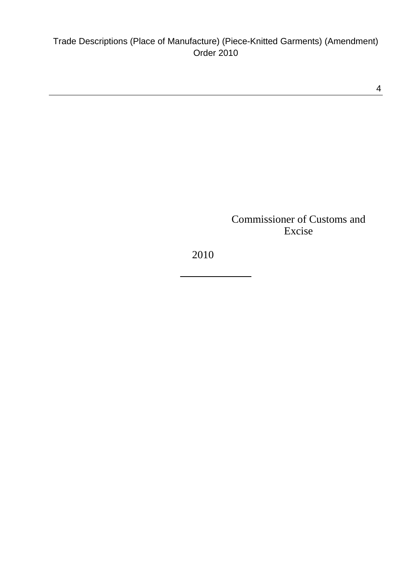4

Commissioner of Customs and Excise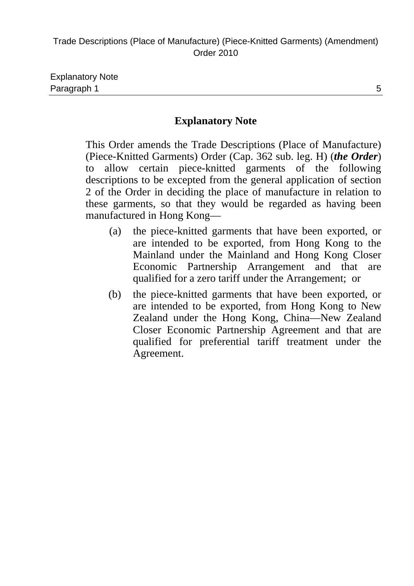This Order amends the Trade Descriptions (Place of Manufacture) (Piece-Knitted Garments) Order (Cap. 362 sub. leg. H) (*the Order*) to allow certain piece-knitted garments of the following descriptions to be excepted from the general application of section 2 of the Order in deciding the place of manufacture in relation to these garments, so that they would be regarded as having been manufactured in Hong Kong—

- (a) the piece-knitted garments that have been exported, or are intended to be exported, from Hong Kong to the Mainland under the Mainland and Hong Kong Closer Economic Partnership Arrangement and that are qualified for a zero tariff under the Arrangement; or
- (b) the piece-knitted garments that have been exported, or are intended to be exported, from Hong Kong to New Zealand under the Hong Kong, China—New Zealand Closer Economic Partnership Agreement and that are qualified for preferential tariff treatment under the Agreement.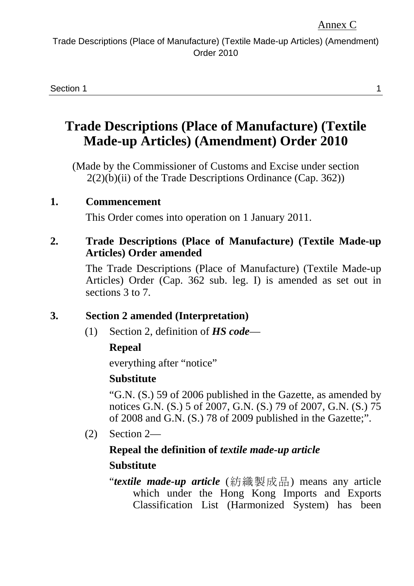Section 1 **1** 

# **Trade Descriptions (Place of Manufacture) (Textile Made-up Articles) (Amendment) Order 2010**

(Made by the Commissioner of Customs and Excise under section  $2(2)(b)(ii)$  of the Trade Descriptions Ordinance (Cap. 362))

#### **1. Commencement**

This Order comes into operation on 1 January 2011.

#### **2. Trade Descriptions (Place of Manufacture) (Textile Made-up Articles) Order amended**

The Trade Descriptions (Place of Manufacture) (Textile Made-up Articles) Order (Cap. 362 sub. leg. I) is amended as set out in sections 3 to 7.

#### **3. Section 2 amended (Interpretation)**

(1) Section 2, definition of *HS code*—

#### **Repeal**

everything after "notice"

#### **Substitute**

"G.N. (S.) 59 of 2006 published in the Gazette, as amended by notices G.N. (S.) 5 of 2007, G.N. (S.) 79 of 2007, G.N. (S.) 75 of 2008 and G.N. (S.) 78 of 2009 published in the Gazette;".

(2) Section 2—

## **Repeal the definition of** *textile made-up article*

#### **Substitute**

"*textile made-up article* (紡織製成品) means any article which under the Hong Kong Imports and Exports Classification List (Harmonized System) has been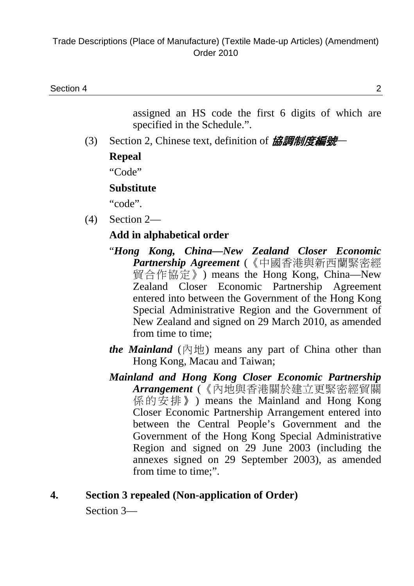assigned an HS code the first 6 digits of which are specified in the Schedule.".

(3) Section 2, Chinese text, definition of 協調制度編號

#### **Repeal**

"Code"

#### **Substitute**

"code".

(4) Section 2—

#### **Add in alphabetical order**

- "*Hong Kong, China—New Zealand Closer Economic Partnership Agreement* (《中國香港與新西蘭緊密經 貿合作協定》) means the Hong Kong, China—New Zealand Closer Economic Partnership Agreement entered into between the Government of the Hong Kong Special Administrative Region and the Government of New Zealand and signed on 29 March 2010, as amended from time to time;
- *the Mainland* (內地) means any part of China other than Hong Kong, Macau and Taiwan;
- *Mainland and Hong Kong Closer Economic Partnership Arrangement* (《內地與香港關於建立更緊密經貿關 係的安排》) means the Mainland and Hong Kong Closer Economic Partnership Arrangement entered into between the Central People's Government and the Government of the Hong Kong Special Administrative Region and signed on 29 June 2003 (including the annexes signed on 29 September 2003), as amended from time to time;".

# **4. Section 3 repealed (Non-application of Order)**

Section 3—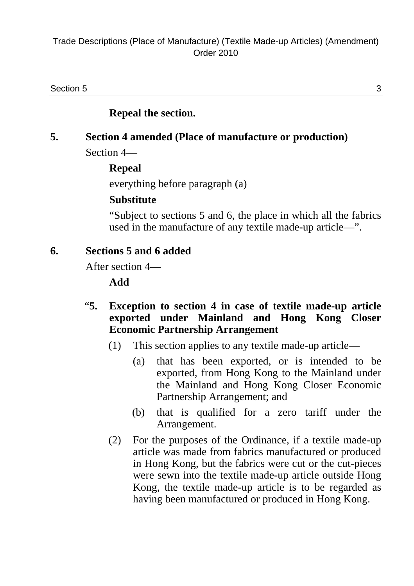Section 5  $\sim$  3

#### **Repeal the section.**

#### **5. Section 4 amended (Place of manufacture or production)**  Section 4—

#### **Repeal**

everything before paragraph (a)

#### **Substitute**

"Subject to sections 5 and 6, the place in which all the fabrics used in the manufacture of any textile made-up article—".

#### **6. Sections 5 and 6 added**

After section 4—

**Add** 

- "**5. Exception to section 4 in case of textile made-up article exported under Mainland and Hong Kong Closer Economic Partnership Arrangement** 
	- (1) This section applies to any textile made-up article—
		- (a) that has been exported, or is intended to be exported, from Hong Kong to the Mainland under the Mainland and Hong Kong Closer Economic Partnership Arrangement; and
		- (b) that is qualified for a zero tariff under the Arrangement.
	- (2) For the purposes of the Ordinance, if a textile made-up article was made from fabrics manufactured or produced in Hong Kong, but the fabrics were cut or the cut-pieces were sewn into the textile made-up article outside Hong Kong, the textile made-up article is to be regarded as having been manufactured or produced in Hong Kong.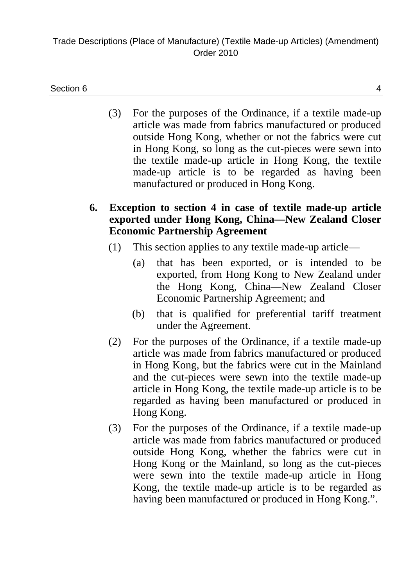#### Section 6  $\overline{a}$  4

- (3) For the purposes of the Ordinance, if a textile made-up article was made from fabrics manufactured or produced outside Hong Kong, whether or not the fabrics were cut in Hong Kong, so long as the cut-pieces were sewn into the textile made-up article in Hong Kong, the textile made-up article is to be regarded as having been manufactured or produced in Hong Kong.
- **6. Exception to section 4 in case of textile made-up article exported under Hong Kong, China—New Zealand Closer Economic Partnership Agreement** 
	- (1) This section applies to any textile made-up article—
		- (a) that has been exported, or is intended to be exported, from Hong Kong to New Zealand under the Hong Kong, China—New Zealand Closer Economic Partnership Agreement; and
		- (b) that is qualified for preferential tariff treatment under the Agreement.
	- (2) For the purposes of the Ordinance, if a textile made-up article was made from fabrics manufactured or produced in Hong Kong, but the fabrics were cut in the Mainland and the cut-pieces were sewn into the textile made-up article in Hong Kong, the textile made-up article is to be regarded as having been manufactured or produced in Hong Kong.
	- (3) For the purposes of the Ordinance, if a textile made-up article was made from fabrics manufactured or produced outside Hong Kong, whether the fabrics were cut in Hong Kong or the Mainland, so long as the cut-pieces were sewn into the textile made-up article in Hong Kong, the textile made-up article is to be regarded as having been manufactured or produced in Hong Kong.".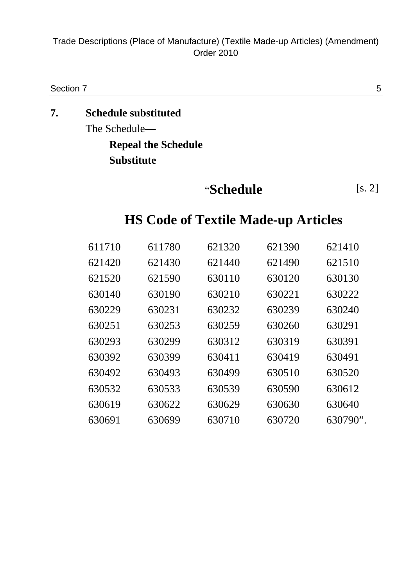Trade Descriptions (Place of Manufacture) (Textile Made-up Articles) (Amendment) Order 2010

Section 7 5

# **7. Schedule substituted**  The Schedule— **Repeal the Schedule**

# **Substitute**

# "**Schedule** [s. 2]

# **HS Code of Textile Made-up Articles**

| 611710 | 611780 | 621320 | 621390 | 621410   |
|--------|--------|--------|--------|----------|
| 621420 | 621430 | 621440 | 621490 | 621510   |
| 621520 | 621590 | 630110 | 630120 | 630130   |
| 630140 | 630190 | 630210 | 630221 | 630222   |
| 630229 | 630231 | 630232 | 630239 | 630240   |
| 630251 | 630253 | 630259 | 630260 | 630291   |
| 630293 | 630299 | 630312 | 630319 | 630391   |
| 630392 | 630399 | 630411 | 630419 | 630491   |
| 630492 | 630493 | 630499 | 630510 | 630520   |
| 630532 | 630533 | 630539 | 630590 | 630612   |
| 630619 | 630622 | 630629 | 630630 | 630640   |
| 630691 | 630699 | 630710 | 630720 | 630790". |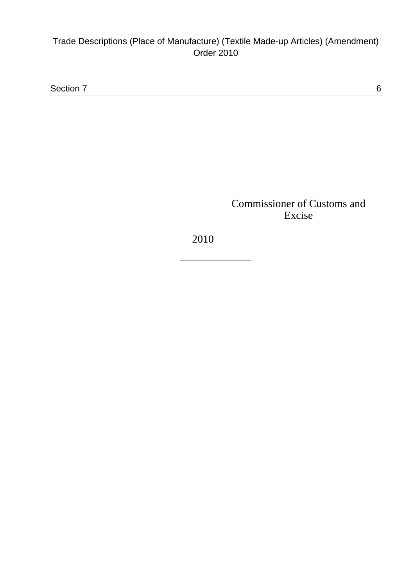#### Trade Descriptions (Place of Manufacture) (Textile Made-up Articles) (Amendment) Order 2010

Section 7 6

Commissioner of Customs and Excise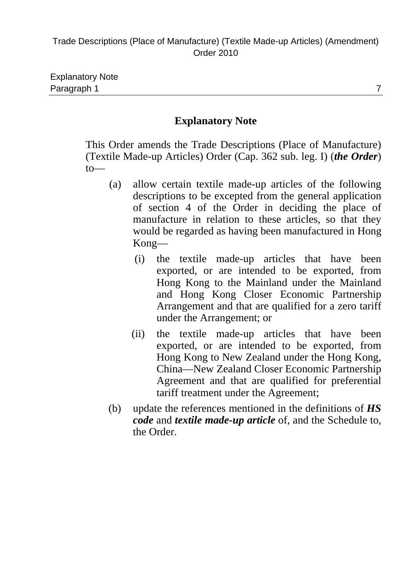| <b>Explanatory Note</b> |  |
|-------------------------|--|
| Paragraph 1             |  |

This Order amends the Trade Descriptions (Place of Manufacture) (Textile Made-up Articles) Order (Cap. 362 sub. leg. I) (*the Order*) to—

- (a) allow certain textile made-up articles of the following descriptions to be excepted from the general application of section 4 of the Order in deciding the place of manufacture in relation to these articles, so that they would be regarded as having been manufactured in Hong Kong—
	- (i) the textile made-up articles that have been exported, or are intended to be exported, from Hong Kong to the Mainland under the Mainland and Hong Kong Closer Economic Partnership Arrangement and that are qualified for a zero tariff under the Arrangement; or
	- (ii) the textile made-up articles that have been exported, or are intended to be exported, from Hong Kong to New Zealand under the Hong Kong, China—New Zealand Closer Economic Partnership Agreement and that are qualified for preferential tariff treatment under the Agreement;
- (b) update the references mentioned in the definitions of *HS code* and *textile made-up article* of, and the Schedule to, the Order.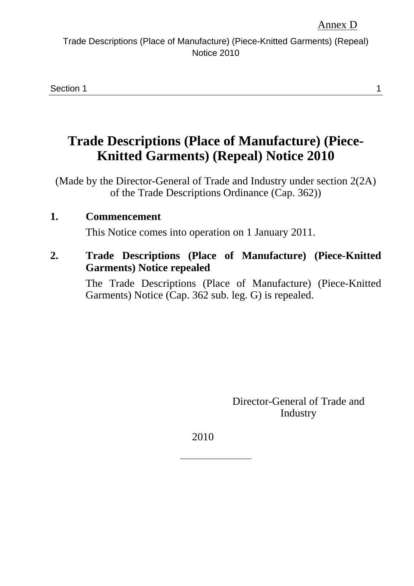Section 1 **1** 

# **Trade Descriptions (Place of Manufacture) (Piece-Knitted Garments) (Repeal) Notice 2010**

(Made by the Director-General of Trade and Industry under section 2(2A) of the Trade Descriptions Ordinance (Cap. 362))

#### **1. Commencement**

This Notice comes into operation on 1 January 2011.

#### **2. Trade Descriptions (Place of Manufacture) (Piece-Knitted Garments) Notice repealed**

The Trade Descriptions (Place of Manufacture) (Piece-Knitted Garments) Notice (Cap. 362 sub. leg. G) is repealed.

> Director-General of Trade and Industry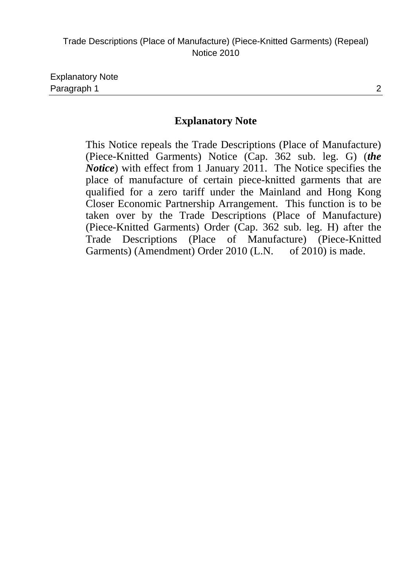This Notice repeals the Trade Descriptions (Place of Manufacture) (Piece-Knitted Garments) Notice (Cap. 362 sub. leg. G) (*the Notice*) with effect from 1 January 2011. The Notice specifies the place of manufacture of certain piece-knitted garments that are qualified for a zero tariff under the Mainland and Hong Kong Closer Economic Partnership Arrangement. This function is to be taken over by the Trade Descriptions (Place of Manufacture) (Piece-Knitted Garments) Order (Cap. 362 sub. leg. H) after the Trade Descriptions (Place of Manufacture) (Piece-Knitted Garments) (Amendment) Order 2010 (L.N. of 2010) is made.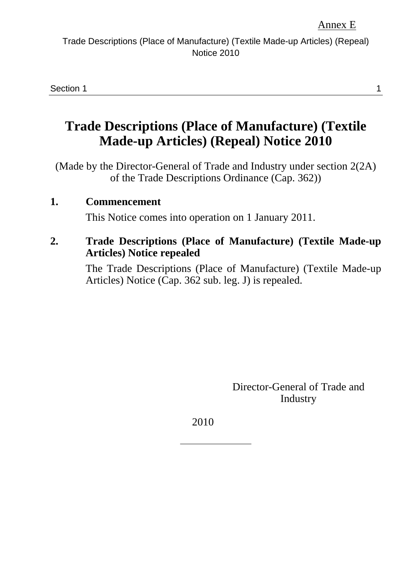Section 1 **1** 

# **Trade Descriptions (Place of Manufacture) (Textile Made-up Articles) (Repeal) Notice 2010**

(Made by the Director-General of Trade and Industry under section 2(2A) of the Trade Descriptions Ordinance (Cap. 362))

#### **1. Commencement**

This Notice comes into operation on 1 January 2011.

#### **2. Trade Descriptions (Place of Manufacture) (Textile Made-up Articles) Notice repealed**

The Trade Descriptions (Place of Manufacture) (Textile Made-up Articles) Notice (Cap. 362 sub. leg. J) is repealed.

> Director-General of Trade and Industry